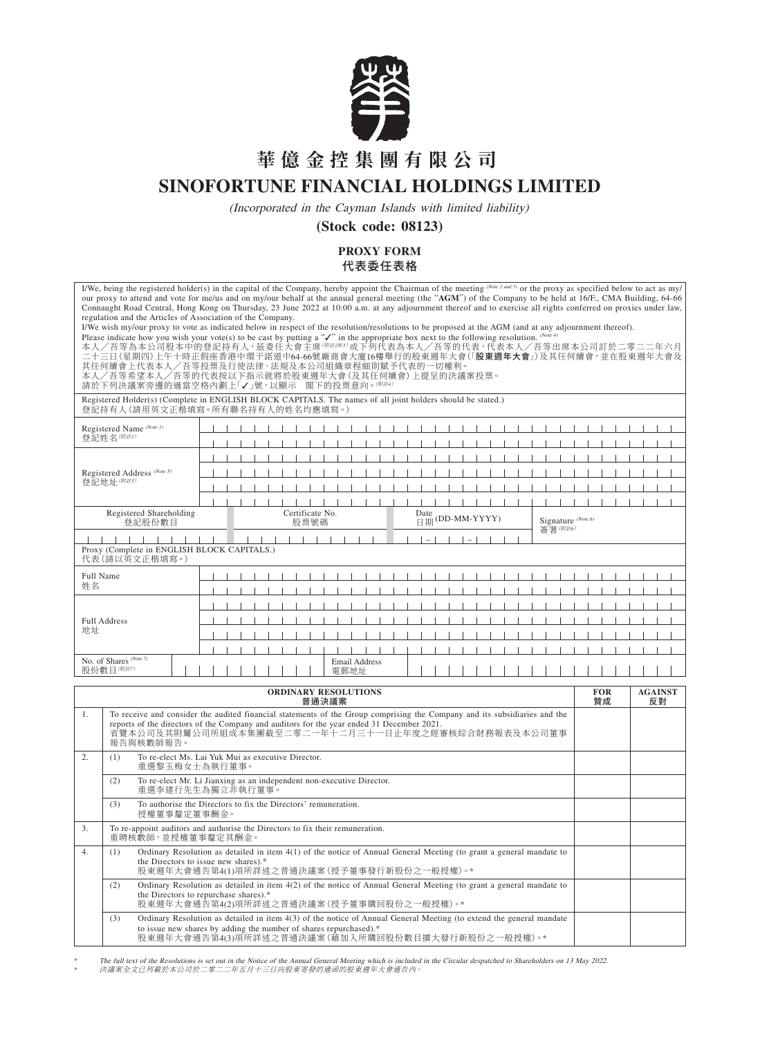

## **華億金控集團有限公司**

## **SINOFORTUNE FINANCIAL HOLDINGS LIMITED**

(Incorporated in the Cayman Islands with limited liability)

**(Stock code: 08123)**

## **PROXY FORM** 代表委任表格

|                                                                                                                                                                                                                                                                                                                                                                                                                                                                                                                                                                                                                             | I/We, being the registered holder(s) in the capital of the Company, hereby appoint the Chairman of the meeting $(Note 2 and 3)$ or the proxy as specified below to act as my/<br>our proxy to attend and vote for me/us and on my/our behalf at the annual general meeting (the "AGM") of the Company to be held at 16/F., CMA Building, 64-66<br>Connaught Road Central, Hong Kong on Thursday, 23 June 2022 at 10:00 a.m. at any adjournment thereof and to exercise all rights conferred on proxies under law,<br>regulation and the Articles of Association of the Company. |  |                                                                                               |                              |       |  |  |  |  |  |  |  |                               |  |  |  |  |  |  |            |  |  |  |                |
|-----------------------------------------------------------------------------------------------------------------------------------------------------------------------------------------------------------------------------------------------------------------------------------------------------------------------------------------------------------------------------------------------------------------------------------------------------------------------------------------------------------------------------------------------------------------------------------------------------------------------------|---------------------------------------------------------------------------------------------------------------------------------------------------------------------------------------------------------------------------------------------------------------------------------------------------------------------------------------------------------------------------------------------------------------------------------------------------------------------------------------------------------------------------------------------------------------------------------|--|-----------------------------------------------------------------------------------------------|------------------------------|-------|--|--|--|--|--|--|--|-------------------------------|--|--|--|--|--|--|------------|--|--|--|----------------|
| I/We wish my/our proxy to vote as indicated below in respect of the resolution/resolutions to be proposed at the AGM (and at any adjournment thereof).<br>Please indicate how you wish your vote(s) to be cast by putting a " $\checkmark$ " in the appropriate box next to the following resolution. (Note 4)<br>本人/吾等為本公司股本中的登記持有人,茲委任大會主席(##2#1)或下列代表為本人/吾等的代表,代表本人/吾等出席本公司訂於二零二二年六月<br>二十三日(星期四)上午十時正假座香港中環干諾道中64-66號廠商會大廈16樓舉行的股東週年大會(「 <b>股東週年大會</b> 」)及其任何續會,並在股東週年大會及<br>其任何續會上代表本人/吾等投票及行使法律、法規及本公司組織章程細則賦予代表的一切權利。<br>本人/吾等希望本人/吾等的代表按以下指示就將於股東週年大會(及其任何續會)上提呈的決議案投票。<br>請於下列決議案旁邊的適當空格內劃上「√」號,以顯示 閣下的投票意向。(Wit4) |                                                                                                                                                                                                                                                                                                                                                                                                                                                                                                                                                                                 |  |                                                                                               |                              |       |  |  |  |  |  |  |  |                               |  |  |  |  |  |  |            |  |  |  |                |
| Registered Holder(s) (Complete in ENGLISH BLOCK CAPITALS. The names of all joint holders should be stated.)<br>登記持有人(請用英文正楷填寫。所有聯名持有人的姓名均應填寫。)                                                                                                                                                                                                                                                                                                                                                                                                                                                                              |                                                                                                                                                                                                                                                                                                                                                                                                                                                                                                                                                                                 |  |                                                                                               |                              |       |  |  |  |  |  |  |  |                               |  |  |  |  |  |  |            |  |  |  |                |
| Registered Name (Note 1)<br>登記姓名(附註1)                                                                                                                                                                                                                                                                                                                                                                                                                                                                                                                                                                                       |                                                                                                                                                                                                                                                                                                                                                                                                                                                                                                                                                                                 |  |                                                                                               |                              |       |  |  |  |  |  |  |  |                               |  |  |  |  |  |  |            |  |  |  |                |
|                                                                                                                                                                                                                                                                                                                                                                                                                                                                                                                                                                                                                             |                                                                                                                                                                                                                                                                                                                                                                                                                                                                                                                                                                                 |  |                                                                                               |                              |       |  |  |  |  |  |  |  |                               |  |  |  |  |  |  |            |  |  |  |                |
| Registered Address <sup>(Note 5)</sup><br>登記地址(附註5)                                                                                                                                                                                                                                                                                                                                                                                                                                                                                                                                                                         |                                                                                                                                                                                                                                                                                                                                                                                                                                                                                                                                                                                 |  |                                                                                               |                              |       |  |  |  |  |  |  |  |                               |  |  |  |  |  |  |            |  |  |  |                |
|                                                                                                                                                                                                                                                                                                                                                                                                                                                                                                                                                                                                                             |                                                                                                                                                                                                                                                                                                                                                                                                                                                                                                                                                                                 |  |                                                                                               |                              |       |  |  |  |  |  |  |  |                               |  |  |  |  |  |  |            |  |  |  |                |
|                                                                                                                                                                                                                                                                                                                                                                                                                                                                                                                                                                                                                             |                                                                                                                                                                                                                                                                                                                                                                                                                                                                                                                                                                                 |  |                                                                                               |                              |       |  |  |  |  |  |  |  |                               |  |  |  |  |  |  |            |  |  |  |                |
|                                                                                                                                                                                                                                                                                                                                                                                                                                                                                                                                                                                                                             | Registered Shareholding                                                                                                                                                                                                                                                                                                                                                                                                                                                                                                                                                         |  | Certificate No.<br>Date                                                                       |                              |       |  |  |  |  |  |  |  |                               |  |  |  |  |  |  |            |  |  |  |                |
|                                                                                                                                                                                                                                                                                                                                                                                                                                                                                                                                                                                                                             | 登記股份數目                                                                                                                                                                                                                                                                                                                                                                                                                                                                                                                                                                          |  | $\mathop{\boxplus}_{\textstyle \coprod}^{\textstyle \operatorname{out}}$ (DD-MM-YYYY)<br>股票號碼 |                              |       |  |  |  |  |  |  |  | Signature (Note 6)<br>簽署(附註6) |  |  |  |  |  |  |            |  |  |  |                |
|                                                                                                                                                                                                                                                                                                                                                                                                                                                                                                                                                                                                                             |                                                                                                                                                                                                                                                                                                                                                                                                                                                                                                                                                                                 |  |                                                                                               |                              |       |  |  |  |  |  |  |  |                               |  |  |  |  |  |  |            |  |  |  |                |
|                                                                                                                                                                                                                                                                                                                                                                                                                                                                                                                                                                                                                             | Proxy (Complete in ENGLISH BLOCK CAPITALS.)<br>代表(請以英文正楷填寫。)                                                                                                                                                                                                                                                                                                                                                                                                                                                                                                                    |  |                                                                                               |                              |       |  |  |  |  |  |  |  |                               |  |  |  |  |  |  |            |  |  |  |                |
| Full Name                                                                                                                                                                                                                                                                                                                                                                                                                                                                                                                                                                                                                   |                                                                                                                                                                                                                                                                                                                                                                                                                                                                                                                                                                                 |  |                                                                                               |                              |       |  |  |  |  |  |  |  |                               |  |  |  |  |  |  |            |  |  |  |                |
| 姓名                                                                                                                                                                                                                                                                                                                                                                                                                                                                                                                                                                                                                          |                                                                                                                                                                                                                                                                                                                                                                                                                                                                                                                                                                                 |  |                                                                                               |                              |       |  |  |  |  |  |  |  |                               |  |  |  |  |  |  |            |  |  |  |                |
|                                                                                                                                                                                                                                                                                                                                                                                                                                                                                                                                                                                                                             |                                                                                                                                                                                                                                                                                                                                                                                                                                                                                                                                                                                 |  |                                                                                               |                              |       |  |  |  |  |  |  |  |                               |  |  |  |  |  |  |            |  |  |  |                |
|                                                                                                                                                                                                                                                                                                                                                                                                                                                                                                                                                                                                                             | <b>Full Address</b>                                                                                                                                                                                                                                                                                                                                                                                                                                                                                                                                                             |  |                                                                                               |                              |       |  |  |  |  |  |  |  |                               |  |  |  |  |  |  |            |  |  |  |                |
| 地址                                                                                                                                                                                                                                                                                                                                                                                                                                                                                                                                                                                                                          |                                                                                                                                                                                                                                                                                                                                                                                                                                                                                                                                                                                 |  |                                                                                               |                              |       |  |  |  |  |  |  |  |                               |  |  |  |  |  |  |            |  |  |  |                |
|                                                                                                                                                                                                                                                                                                                                                                                                                                                                                                                                                                                                                             |                                                                                                                                                                                                                                                                                                                                                                                                                                                                                                                                                                                 |  |                                                                                               |                              |       |  |  |  |  |  |  |  |                               |  |  |  |  |  |  |            |  |  |  |                |
| No. of Shares (Note 7)<br>股份數目(附註7)                                                                                                                                                                                                                                                                                                                                                                                                                                                                                                                                                                                         |                                                                                                                                                                                                                                                                                                                                                                                                                                                                                                                                                                                 |  |                                                                                               | <b>Email Address</b><br>電郵地址 |       |  |  |  |  |  |  |  |                               |  |  |  |  |  |  |            |  |  |  |                |
|                                                                                                                                                                                                                                                                                                                                                                                                                                                                                                                                                                                                                             |                                                                                                                                                                                                                                                                                                                                                                                                                                                                                                                                                                                 |  |                                                                                               | <b>ORDINARY RESOLUTIONS</b>  |       |  |  |  |  |  |  |  |                               |  |  |  |  |  |  | <b>FOR</b> |  |  |  | <b>AGAINST</b> |
|                                                                                                                                                                                                                                                                                                                                                                                                                                                                                                                                                                                                                             |                                                                                                                                                                                                                                                                                                                                                                                                                                                                                                                                                                                 |  |                                                                                               |                              | 普通決議案 |  |  |  |  |  |  |  |                               |  |  |  |  |  |  | 贊成         |  |  |  | 反對             |
| To receive and consider the audited financial statements of the Group comprising the Company and its subsidiaries and the<br>1.<br>reports of the directors of the Company and auditors for the year ended 31 December 2021.<br>省覽本公司及其附屬公司所組成本集團截至二零二一年十二月三十一日止年度之經審核綜合財務報表及本公司董事<br>報告與核數師報告。                                                                                                                                                                                                                                                                                                                             |                                                                                                                                                                                                                                                                                                                                                                                                                                                                                                                                                                                 |  |                                                                                               |                              |       |  |  |  |  |  |  |  |                               |  |  |  |  |  |  |            |  |  |  |                |
| $\overline{2}$ .                                                                                                                                                                                                                                                                                                                                                                                                                                                                                                                                                                                                            | To re-elect Ms. Lai Yuk Mui as executive Director.<br>(1)<br>重選黎玉梅女士為執行董事。                                                                                                                                                                                                                                                                                                                                                                                                                                                                                                      |  |                                                                                               |                              |       |  |  |  |  |  |  |  |                               |  |  |  |  |  |  |            |  |  |  |                |
| To re-elect Mr. Li Jianxing as an independent non-executive Director.<br>(2)<br>重選李建行先生為獨立非執行董事。                                                                                                                                                                                                                                                                                                                                                                                                                                                                                                                            |                                                                                                                                                                                                                                                                                                                                                                                                                                                                                                                                                                                 |  |                                                                                               |                              |       |  |  |  |  |  |  |  |                               |  |  |  |  |  |  |            |  |  |  |                |
|                                                                                                                                                                                                                                                                                                                                                                                                                                                                                                                                                                                                                             | (3)<br>To authorise the Directors to fix the Directors' remuneration.<br>授權董事釐定董事酬金。                                                                                                                                                                                                                                                                                                                                                                                                                                                                                            |  |                                                                                               |                              |       |  |  |  |  |  |  |  |                               |  |  |  |  |  |  |            |  |  |  |                |
| 3.                                                                                                                                                                                                                                                                                                                                                                                                                                                                                                                                                                                                                          | To re-appoint auditors and authorise the Directors to fix their remuneration.<br>重聘核數師,並授權董事釐定其酬金。                                                                                                                                                                                                                                                                                                                                                                                                                                                                              |  |                                                                                               |                              |       |  |  |  |  |  |  |  |                               |  |  |  |  |  |  |            |  |  |  |                |
| 4.                                                                                                                                                                                                                                                                                                                                                                                                                                                                                                                                                                                                                          | Ordinary Resolution as detailed in item 4(1) of the notice of Annual General Meeting (to grant a general mandate to<br>(1)<br>the Directors to issue new shares).*                                                                                                                                                                                                                                                                                                                                                                                                              |  |                                                                                               |                              |       |  |  |  |  |  |  |  |                               |  |  |  |  |  |  |            |  |  |  |                |
| 股東週年大會通告第4(1)項所詳述之普通決議案(授予董事發行新股份之一般授權)。*<br>Ordinary Resolution as detailed in item 4(2) of the notice of Annual General Meeting (to grant a general mandate to<br>(2)<br>the Directors to repurchase shares).*<br>股東週年大會通告第4(2)項所詳述之普通決議案(授予董事購回股份之一般授權)。*                                                                                                                                                                                                                                                                                                                                                                |                                                                                                                                                                                                                                                                                                                                                                                                                                                                                                                                                                                 |  |                                                                                               |                              |       |  |  |  |  |  |  |  |                               |  |  |  |  |  |  |            |  |  |  |                |
|                                                                                                                                                                                                                                                                                                                                                                                                                                                                                                                                                                                                                             | (3)<br>Ordinary Resolution as detailed in item 4(3) of the notice of Annual General Meeting (to extend the general mandate<br>to issue new shares by adding the number of shares repurchased).*<br>股東週年大會通告第4(3)項所詳述之普通決議案(藉加入所購回股份數目擴大發行新股份之一般授權)。*                                                                                                                                                                                                                                                                                                                            |  |                                                                                               |                              |       |  |  |  |  |  |  |  |                               |  |  |  |  |  |  |            |  |  |  |                |

\* The full text of the Resolutions is set out in the Notice of the Annual General Meeting which is included in the Circular despatched to Shareholders on 13 May 2022. \* 決議案全文已列載於本公司於二零二二年五月十三日向股東寄發的通函的股東週年大會通告內。